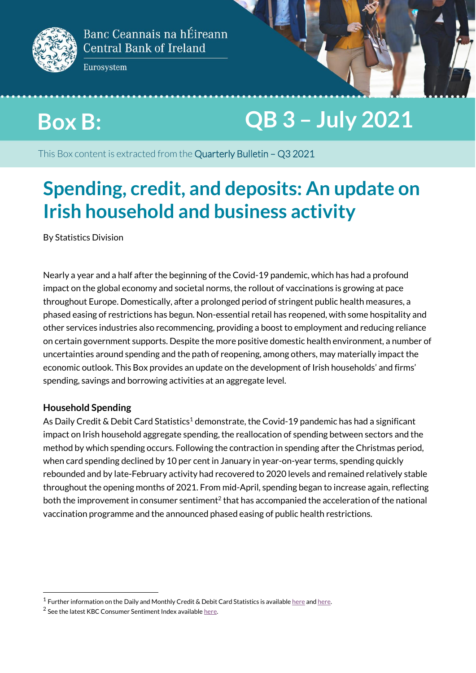

Eurosystem

# **Box B: QB 3 – July 2021**

**BOX D.**<br>The contract of the contract of the contract of the contract of the contract of the contract of the contract of the contract of the contract of the contract of the contract of the contract of the contract of the c This Box content is extracted from the Quarterly Bulletin - Q3 2021

# **October 2019 Spending, credit, and deposits: An update on Irish household and business activity**

By Statistics Division

Nearly a year and a half after the beginning of the Covid-19 pandemic, which has had a profound impact on the global economy and societal norms, the rollout of vaccinations is growing at pace throughout Europe. Domestically, after a prolonged period of stringent public health measures, a phased easing of restrictions has begun. Non-essential retail has reopened, with some hospitality and other services industries also recommencing, providing a boost to employment and reducing reliance on certain government supports. Despite the more positive domestic health environment, a number of uncertainties around spending and the path of reopening, among others, may materially impact the economic outlook. This Box provides an update on the development of Irish households' and firms' spending, savings and borrowing activities at an aggregate level.

### **Household Spending**

.

As Daily Credit & Debit Card Statistics<sup>1</sup> demonstrate, the Covid-19 pandemic has had a significant impact on Irish household aggregate spending, the reallocation of spending between sectors and the method by which spending occurs. Following the contraction in spending after the Christmas period, when card spending declined by 10 per cent in January in year-on-year terms, spending quickly rebounded and by late-February activity had recovered to 2020 levels and remained relatively stable throughout the opening months of 2021. From mid-April, spending began to increase again, reflecting both the improvement in consumer sentiment<sup>2</sup> that has accompanied the acceleration of the national vaccination programme and the announced phased easing of public health restrictions.

<sup>&</sup>lt;sup>1</sup> Further information on the Daily and Monthly Credit & Debit Card Statistics is availabl[e here](https://www.centralbank.ie/statistics/data-and-analysis/credit-and-debit-card-statistics/daily-credit-and-debit-card-statistics) an[d here.](https://www.centralbank.ie/statistics/data-and-analysis/credit-and-debit-card-statistics)

 $2$  See the latest KBC Consumer Sentiment Index availabl[e here.](https://www.kbc.ie/w/irish-consumer-confidence-remains-on-a-positive-path-in-june-but-focus-now-turning-to-a-still-uncertain-future-1?redirect=%2Fblog%2Fconsumer-sentiment-surveys)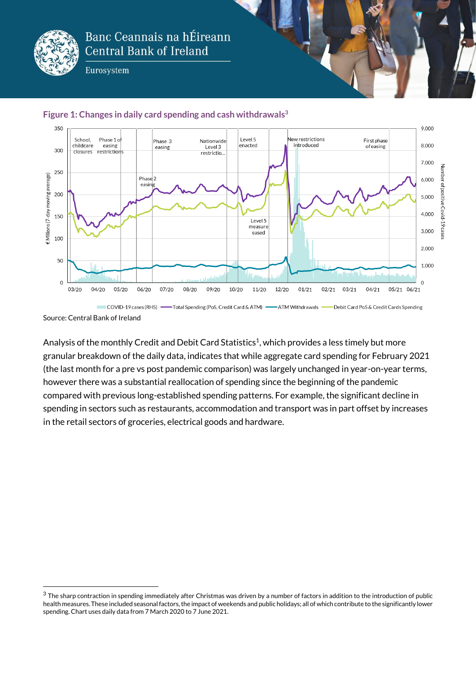

Eurosystem





1

Analysis of the monthly Credit and Debit Card Statistics<sup>1</sup>, which provides a less timely but more granular breakdown of the daily data, indicates that while aggregate card spending for February 2021 (the last month for a pre vs post pandemic comparison) was largely unchanged in year-on-year terms, however there was a substantial reallocation of spending since the beginning of the pandemic compared with previous long-established spending patterns. For example, the significant decline in spending in sectors such as restaurants, accommodation and transport was in part offset by increases in the retail sectors of groceries, electrical goods and hardware.

Source: Central Bank of Ireland

 $3$  The sharp contraction in spending immediately after Christmas was driven by a number of factors in addition to the introduction of public health measures. These included seasonal factors, the impact of weekends and public holidays; all of which contribute to the significantly lower spending. Chart uses daily data from 7 March 2020 to 7 June 2021.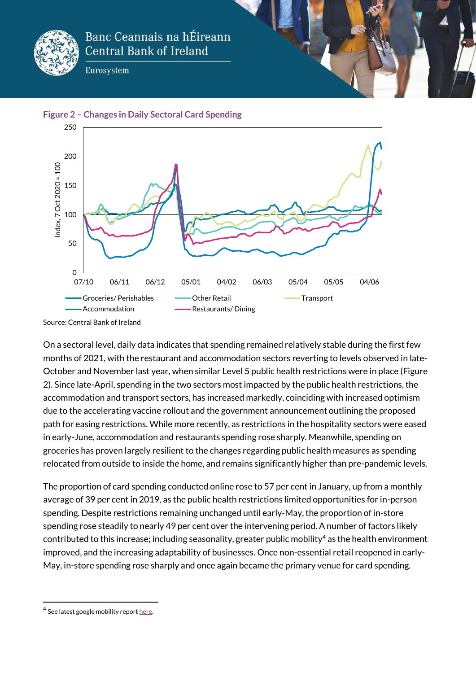

Eurosystem





Source: Central Bank of Ireland

On a sectoral level, daily data indicates that spending remained relatively stable during the first few months of 2021, with the restaurant and accommodation sectors reverting to levels observed in late-October and November last year, when similar Level 5 public health restrictions were in place (Figure 2). Since late-April, spending in the two sectors most impacted by the public health restrictions, the accommodation and transport sectors, has increased markedly, coinciding with increased optimism due to the accelerating vaccine rollout and the government announcement outlining the proposed path for easing restrictions. While more recently, as restrictions in the hospitality sectors were eased in early-June, accommodation and restaurants spending rose sharply. Meanwhile, spending on groceries has proven largely resilient to the changes regarding public health measures as spending relocated from outside to inside the home, and remains significantly higher than pre-pandemic levels.

The proportion of card spending conducted online rose to 57 per cent in January, up from a monthly average of 39 per cent in 2019, as the public health restrictions limited opportunities for in-person spending. Despite restrictions remaining unchanged until early-May, the proportion of in-store spending rose steadily to nearly 49 per cent over the intervening period. A number of factors likely contributed to this increase; including seasonality, greater public mobility<sup>4</sup> as the health environment improved, and the increasing adaptability of businesses. Once non-essential retail reopened in early-May, in-store spending rose sharply and once again became the primary venue for card spending.

.

<sup>&</sup>lt;sup>4</sup> See latest google mobility repor[t here.](https://www.gstatic.com/covid19/mobility/2021-06-18_IE_Mobility_Report_en-GB.pdf)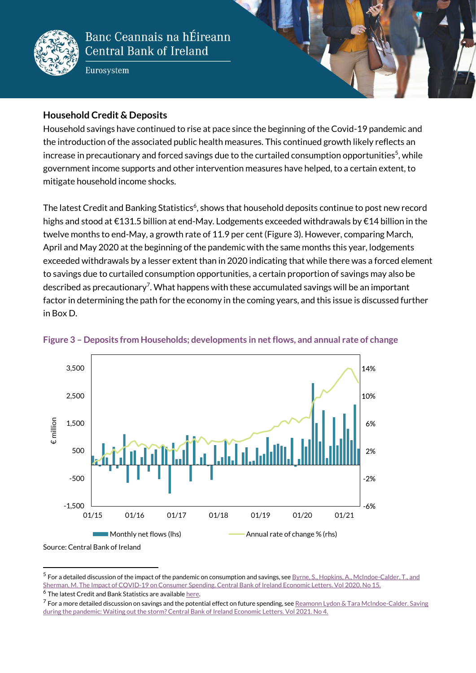

Eurosystem

### **Household Credit & Deposits**

Household savings have continued to rise at pace since the beginning of the Covid-19 pandemic and the introduction of the associated public health measures. This continued growth likely reflects an increase in precautionary and forced savings due to the curtailed consumption opportunities<sup>5</sup>, while government income supports and other intervention measures have helped, to a certain extent, to mitigate household income shocks.

The latest Credit and Banking Statistics<sup>6</sup>, shows that household deposits continue to post new record highs and stood at €131.5 billion at end-May. Lodgements exceeded withdrawals by €14 billion in the twelve months to end-May, a growth rate of 11.9 per cent (Figure 3). However, comparing March, April and May 2020 at the beginning of the pandemic with the same months this year, lodgements exceeded withdrawals by a lesser extent than in 2020 indicating that while there was a forced element to savings due to curtailed consumption opportunities, a certain proportion of savings may also be described as precautionary<sup>7</sup>. What happens with these accumulated savings will be an important factor in determining the path for the economy in the coming years, and this issue is discussed further in Box D.



#### **Figure 3 – Deposits from Households; developments in net flows, and annual rate of change**

 $^5$  For a detailed discussion of the impact of the pandemic on consumption and savings, see  $B$ yrne, S., Hopkins, A., McIndoe-Calder, T., and [Sherman, M. The Impact of COVID-19 on Consumer Spending. Central Bank of Ireland Economic Letters. Vol 2020. No 15.](https://www.centralbank.ie/docs/default-source/publications/economic-letters/the-impact-of-covid-19-on-consumer-spending.pdf?sfvrsn=7)

 $^6$  The latest Credit and Bank Statistics are availabl[e here.](https://www.centralbank.ie/statistics/data-and-analysis/credit-and-banking-statistics)

1

 $^7$  For a more detailed discussion on savings and the potential effect on future spending, see  ${\rm Re}$ monn Lydon & Tara McIndoe-Calder. Saving [during the pandemic: Waiting out the storm? Central Bank of Ireland Economic Letters. Vol 2021. No 4.](https://www.centralbank.ie/docs/default-source/publications/economic-letters/vol-2021-no-4-saving-during-the-pandemic-waiting-out-the-storm-reamonn-lydon-and-tara-mcindoe-calder.pdf?sfvrsn=7)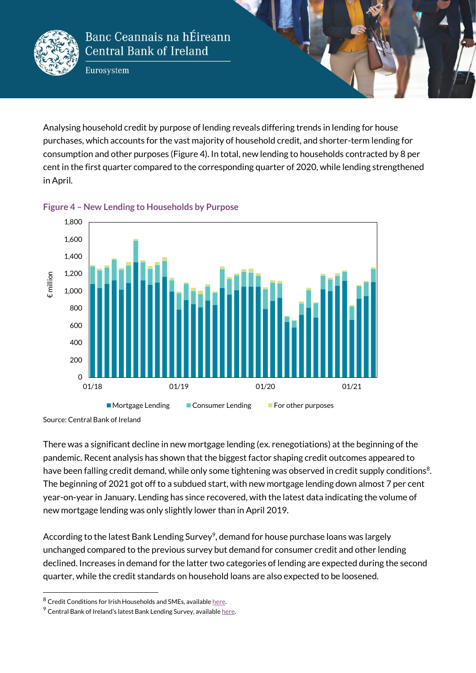

Eurosystem

Analysing household credit by purpose of lending reveals differing trends in lending for house purchases, which accounts for the vast majority of household credit, and shorter-term lending for consumption and other purposes (Figure 4). In total, new lending to households contracted by 8 per cent in the first quarter compared to the corresponding quarter of 2020, while lending strengthened in April.





Source: Central Bank of Ireland

.

There was a significant decline in new mortgage lending (ex. renegotiations) at the beginning of the pandemic. Recent analysis has shown that the biggest factor shaping credit outcomes appeared to have been falling credit demand, while only some tightening was observed in credit supply conditions<sup>8</sup>. The beginning of 2021 got off to a subdued start, with new mortgage lending down almost 7 per cent year-on-year in January. Lending has since recovered, with the latest data indicating the volume of new mortgage lending was only slightly lower than in April 2019.

According to the latest Bank Lending Survey<sup>9</sup>, demand for house purchase loans was largely unchanged compared to the previous survey but demand for consumer credit and other lending declined. Increases in demand for the latter two categories of lending are expected during the second quarter, while the credit standards on household loans are also expected to be loosened.

<sup>8</sup> Credit Conditions for Irish Households and SMEs, availabl[e here.](https://www.centralbank.ie/docs/default-source/publications/economic-letters/credit-conditions-irish-households-and-smes-vol-2021-no-5.pdf?sfvrsn=5)

 $9$  Central Bank of Ireland's latest Bank Lending Survey, availabl[e here.](https://www.centralbank.ie/docs/default-source/statistics/data-and-analysis/credit-and-banking-statistics/bank-lending-survey/comment-on-bank-lending-results-april-2021.pdf?sfvrsn=2)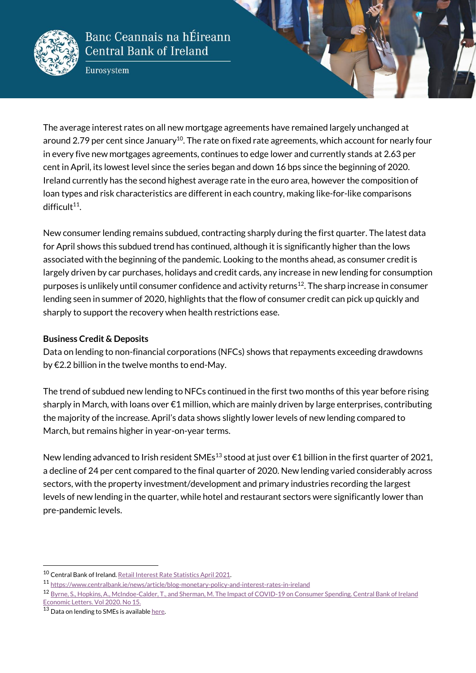

Eurosystem

The average interest rates on all new mortgage agreements have remained largely unchanged at around 2.79 per cent since January<sup>10</sup>. The rate on fixed rate agreements, which account for nearly four in every five new mortgages agreements, continues to edge lower and currently stands at 2.63 per cent in April, its lowest level since the series began and down 16 bps since the beginning of 2020. Ireland currently has the second highest average rate in the euro area, however the composition of loan types and risk characteristics are different in each country, making like-for-like comparisons difficult<sup>11</sup>.

New consumer lending remains subdued, contracting sharply during the first quarter. The latest data for April shows this subdued trend has continued, although it is significantly higher than the lows associated with the beginning of the pandemic. Looking to the months ahead, as consumer credit is largely driven by car purchases, holidays and credit cards, any increase in new lending for consumption purposes is unlikely until consumer confidence and activity returns<sup>12</sup>. The sharp increase in consumer lending seen in summer of 2020, highlights that the flow of consumer credit can pick up quickly and sharply to support the recovery when health restrictions ease.

#### **Business Credit & Deposits**

Data on lending to non-financial corporations (NFCs) shows that repayments exceeding drawdowns by €2.2 billion in the twelve months to end-May.

The trend of subdued new lending to NFCs continued in the first two months of this year before rising sharply in March, with loans over  $\epsilon$ 1 million, which are mainly driven by large enterprises, contributing the majority of the increase. April's data shows slightly lower levels of new lending compared to March, but remains higher in year-on-year terms.

New lending advanced to Irish resident SMEs<sup>13</sup> stood at just over €1 billion in the first quarter of 2021, a decline of 24 per cent compared to the final quarter of 2020. New lending varied considerably across sectors, with the property investment/development and primary industries recording the largest levels of new lending in the quarter, while hotel and restaurant sectors were significantly lower than pre-pandemic levels.

1

<sup>10</sup> Central Bank of Ireland[. Retail Interest Rate Statistics April 2021.](https://www.centralbank.ie/docs/default-source/statistics/data-and-analysis/credit-and-banking-statistics/retail-interest-rates/interest-rate-statistics-april-2021.pdf?sfvrsn=4)

<sup>11</sup> <https://www.centralbank.ie/news/article/blog-monetary-policy-and-interest-rates-in-ireland>

<sup>12</sup> Byrne, S., Hopkins, A., McIndoe-Calder, T., and Sherman, M. The Impact of COVID-19 on Consumer Spending. Central Bank of Ireland [Economic Letters. Vol 2020. No 15.](https://www.centralbank.ie/docs/default-source/publications/economic-letters/the-impact-of-covid-19-on-consumer-spending.pdf?sfvrsn=7)

 $13$  Data on lending to SMEs is availabl[e here.](https://www.centralbank.ie/statistics/data-and-analysis/credit-and-banking-statistics/sme-large-enterprise-credit-and-deposits)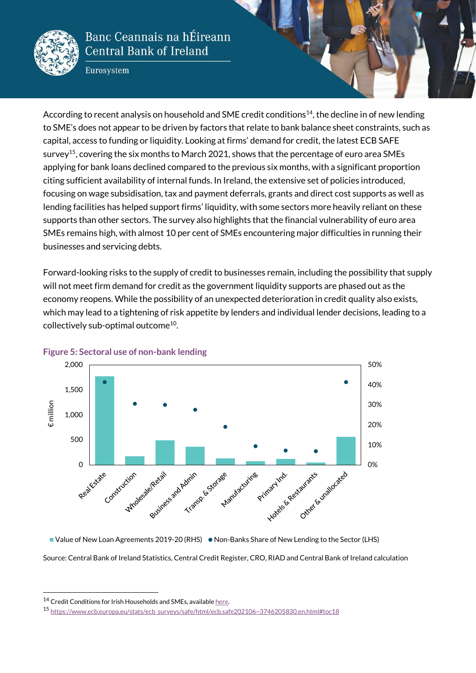

Eurosystem

According to recent analysis on household and SME credit conditions<sup>14</sup>, the decline in of new lending to SME's does not appear to be driven by factors that relate to bank balance sheet constraints, such as capital, access to funding or liquidity. Looking at firms' demand for credit, the latest ECB SAFE survey<sup>15</sup>, covering the six months to March 2021, shows that the percentage of euro area SMEs applying for bank loans declined compared to the previous six months, with a significant proportion citing sufficient availability of internal funds. In Ireland, the extensive set of policies introduced, focusing on wage subsidisation, tax and payment deferrals, grants and direct cost supports as well as lending facilities has helped support firms' liquidity, with some sectors more heavily reliant on these supports than other sectors. The survey also highlights that the financial vulnerability of euro area SMEs remains high, with almost 10 per cent of SMEs encountering major difficulties in running their businesses and servicing debts.

Forward-looking risks to the supply of credit to businesses remain, including the possibility that supply will not meet firm demand for credit as the government liquidity supports are phased out as the economy reopens. While the possibility of an unexpected deterioration in credit quality also exists, which may lead to a tightening of risk appetite by lenders and individual lender decisions, leading to a collectively sub-optimal outcome<sup>10</sup>.



#### **Figure 5: Sectoral use of non-bank lending**

Source: Central Bank of Ireland Statistics, Central Credit Register, CRO, RIAD and Central Bank of Ireland calculation ■ Value of New Loan Agreements 2019-20 (RHS) ● Non-Banks Share of New Lending to the Sector (LHS)

.

<sup>&</sup>lt;sup>14</sup> Credit Conditions for Irish Households and SMEs, availabl[e here.](https://www.centralbank.ie/docs/default-source/publications/economic-letters/credit-conditions-irish-households-and-smes-vol-2021-no-5.pdf?sfvrsn=5)

<sup>15</sup> [https://www.ecb.europa.eu/stats/ecb\\_surveys/safe/html/ecb.safe202106~3746205830.en.html#toc18](https://www.ecb.europa.eu/stats/ecb_surveys/safe/html/ecb.safe202106~3746205830.en.html#toc18)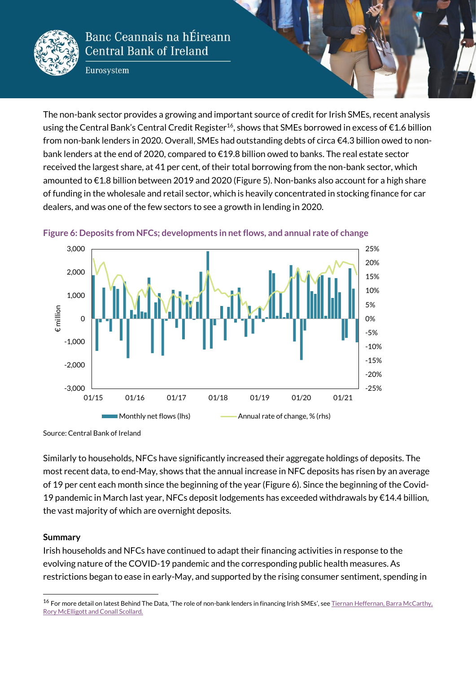

Eurosystem

The non-bank sector provides a growing and important source of credit for Irish SMEs, recent analysis using the Central Bank's Central Credit Register<sup>16</sup>, shows that SMEs borrowed in excess of  $\epsilon$ 1.6 billion from non-bank lenders in 2020. Overall, SMEs had outstanding debts of circa €4.3 billion owed to nonbank lenders at the end of 2020, compared to €19.8 billion owed to banks. The real estate sector received the largest share, at 41 per cent, of their total borrowing from the non-bank sector, which amounted to €1.8 billion between 2019 and 2020 (Figure 5). Non-banks also account for a high share of funding in the wholesale and retail sector, which is heavily concentrated in stocking finance for car dealers, and was one of the few sectors to see a growth in lending in 2020.



#### **Figure 6: Deposits from NFCs; developments in net flows, and annual rate of change**

Source: Central Bank of Ireland

Similarly to households, NFCs have significantly increased their aggregate holdings of deposits. The most recent data, to end-May, shows that the annual increase in NFC deposits has risen by an average of 19 per cent each month since the beginning of the year (Figure 6). Since the beginning of the Covid-19 pandemic in March last year, NFCs deposit lodgements has exceeded withdrawals by  $\epsilon$ 14.4 billion, the vast majority of which are overnight deposits.

#### **Summary**

1

Irish households and NFCs have continued to adapt their financing activities in response to the evolving nature of the COVID-19 pandemic and the corresponding public health measures. As restrictions began to ease in early-May, and supported by the rising consumer sentiment, spending in

<sup>&</sup>lt;sup>16</sup> For more detail on latest Behind The Data, 'The role of non-bank lenders in financing Irish SMEs', see Tiernan Heffernan, Barra McCarthy, [Rory McElligott and Conall Scollard.](https://www.centralbank.ie/statistics/statistical-publications/behind-the-data/the-role-of-non-bank-lenders-in-financing-irish-smes)